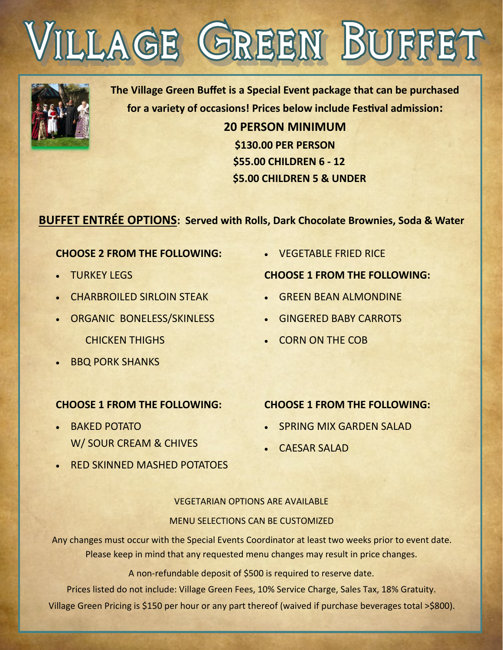



**The Village Green Buffet is a Special Event package that can be purchased for a variety of occasions! Prices below include Festival admission:**

> **20 PERSON MINIMUM \$130.00 PER PERSON \$55.00 CHILDREN 6 - 12 \$5.00 CHILDREN 5 & UNDER**

## **BUFFET ENTRÉE OPTIONS: Served with Rolls, Dark Chocolate Brownies, Soda & Water**

## **CHOOSE 2 FROM THE FOLLOWING:**

- TURKEY LEGS
- **CHARBROILED SIRLOIN STEAK**
- ORGANIC BONELESS/SKINLESS CHICKEN THIGHS
- **BBQ PORK SHANKS**

## **CHOOSE 1 FROM THE FOLLOWING:**

- BAKED POTATO W/ SOUR CREAM & CHIVES
- RED SKINNED MASHED POTATOES

• VEGETABLE FRIED RICE

#### **CHOOSE 1 FROM THE FOLLOWING:**

- GREEN BEAN ALMONDINE
- GINGERED BABY CARROTS
- CORN ON THE COB

## **CHOOSE 1 FROM THE FOLLOWING:**

- SPRING MIX GARDEN SALAD
- CAESAR SALAD

VEGETARIAN OPTIONS ARE AVAILABLE MENU SELECTIONS CAN BE CUSTOMIZED

Any changes must occur with the Special Events Coordinator at least two weeks prior to event date. Please keep in mind that any requested menu changes may result in price changes.

A non-refundable deposit of \$500 is required to reserve date.

Prices listed do not include: Village Green Fees, 10% Service Charge, Sales Tax, 18% Gratuity. Village Green Pricing is \$150 per hour or any part thereof (waived if purchase beverages total >\$800).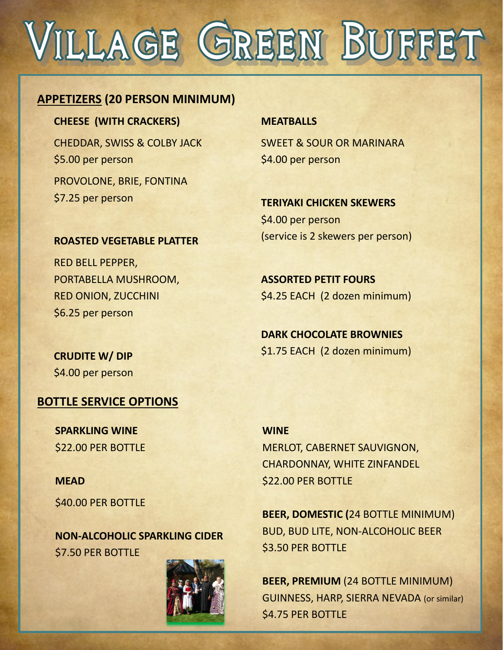# VILLAGE GREEN BUFFET

## **APPETIZERS (20 PERSON MINIMUM)**

**CHEESE (WITH CRACKERS)**

CHEDDAR, SWISS & COLBY JACK \$5.00 per person PROVOLONE, BRIE, FONTINA \$7.25 per person

#### **MEATBALLS**

SWEET & SOUR OR MARINARA \$4.00 per person

**TERIYAKI CHICKEN SKEWERS** \$4.00 per person (service is 2 skewers per person)

## **ASSORTED PETIT FOURS** \$4.25 EACH (2 dozen minimum)

**DARK CHOCOLATE BROWNIES** \$1.75 EACH (2 dozen minimum)

## **ROASTED VEGETABLE PLATTER**

RED BELL PEPPER, PORTABELLA MUSHROOM, RED ONION, ZUCCHINI \$6.25 per person

**CRUDITE W/ DIP** \$4.00 per person

## **BOTTLE SERVICE OPTIONS**

**SPARKLING WINE** \$22.00 PER BOTTLE

## **MEAD**

\$40.00 PER BOTTLE

**NON-ALCOHOLIC SPARKLING CIDER** \$7.50 PER BOTTLE



**WINE** MERLOT, CABERNET SAUVIGNON, CHARDONNAY, WHITE ZINFANDEL \$22.00 PER BOTTLE

**BEER, DOMESTIC (**24 BOTTLE MINIMUM) BUD, BUD LITE, NON-ALCOHOLIC BEER \$3.50 PER BOTTLE

**BEER, PREMIUM** (24 BOTTLE MINIMUM) GUINNESS, HARP, SIERRA NEVADA (or similar) \$4.75 PER BOTTLE